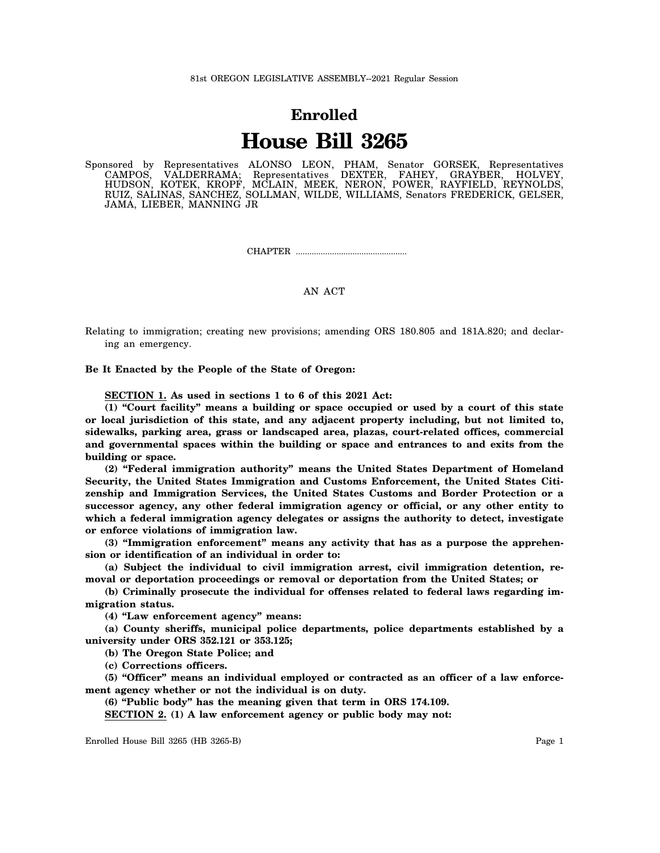## **Enrolled House Bill 3265**

Sponsored by Representatives ALONSO LEON, PHAM, Senator GORSEK, Representatives CAMPOS, VALDERRAMA; Representatives DEXTER, FAHEY, GRAYBER, HOLVEY, HUDSON, KOTEK, KROPF, MCLAIN, MEEK, NERON, POWER, RAYFIELD, REYNOLDS, RUIZ, SALINAS, SANCHEZ, SOLLMAN, WILDE, WILLIAMS, Senators FREDERICK, GELSER, JAMA, LIEBER, MANNING JR

CHAPTER .................................................

## AN ACT

Relating to immigration; creating new provisions; amending ORS 180.805 and 181A.820; and declaring an emergency.

**Be It Enacted by the People of the State of Oregon:**

**SECTION 1. As used in sections 1 to 6 of this 2021 Act:**

**(1) "Court facility" means a building or space occupied or used by a court of this state or local jurisdiction of this state, and any adjacent property including, but not limited to, sidewalks, parking area, grass or landscaped area, plazas, court-related offices, commercial and governmental spaces within the building or space and entrances to and exits from the building or space.**

**(2) "Federal immigration authority" means the United States Department of Homeland Security, the United States Immigration and Customs Enforcement, the United States Citizenship and Immigration Services, the United States Customs and Border Protection or a successor agency, any other federal immigration agency or official, or any other entity to which a federal immigration agency delegates or assigns the authority to detect, investigate or enforce violations of immigration law.**

**(3) "Immigration enforcement" means any activity that has as a purpose the apprehension or identification of an individual in order to:**

**(a) Subject the individual to civil immigration arrest, civil immigration detention, removal or deportation proceedings or removal or deportation from the United States; or**

**(b) Criminally prosecute the individual for offenses related to federal laws regarding immigration status.**

**(4) "Law enforcement agency" means:**

**(a) County sheriffs, municipal police departments, police departments established by a university under ORS 352.121 or 353.125;**

**(b) The Oregon State Police; and**

**(c) Corrections officers.**

**(5) "Officer" means an individual employed or contracted as an officer of a law enforcement agency whether or not the individual is on duty.**

**(6) "Public body" has the meaning given that term in ORS 174.109.**

**SECTION 2. (1) A law enforcement agency or public body may not:**

Enrolled House Bill 3265 (HB 3265-B) Page 1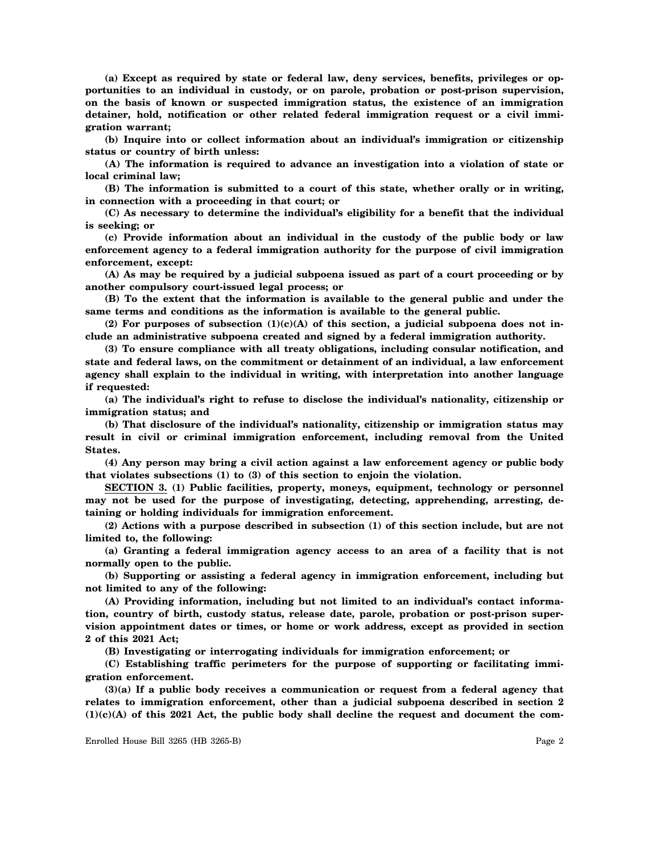**(a) Except as required by state or federal law, deny services, benefits, privileges or opportunities to an individual in custody, or on parole, probation or post-prison supervision, on the basis of known or suspected immigration status, the existence of an immigration detainer, hold, notification or other related federal immigration request or a civil immigration warrant;**

**(b) Inquire into or collect information about an individual's immigration or citizenship status or country of birth unless:**

**(A) The information is required to advance an investigation into a violation of state or local criminal law;**

**(B) The information is submitted to a court of this state, whether orally or in writing, in connection with a proceeding in that court; or**

**(C) As necessary to determine the individual's eligibility for a benefit that the individual is seeking; or**

**(c) Provide information about an individual in the custody of the public body or law enforcement agency to a federal immigration authority for the purpose of civil immigration enforcement, except:**

**(A) As may be required by a judicial subpoena issued as part of a court proceeding or by another compulsory court-issued legal process; or**

**(B) To the extent that the information is available to the general public and under the same terms and conditions as the information is available to the general public.**

**(2) For purposes of subsection (1)(c)(A) of this section, a judicial subpoena does not include an administrative subpoena created and signed by a federal immigration authority.**

**(3) To ensure compliance with all treaty obligations, including consular notification, and state and federal laws, on the commitment or detainment of an individual, a law enforcement agency shall explain to the individual in writing, with interpretation into another language if requested:**

**(a) The individual's right to refuse to disclose the individual's nationality, citizenship or immigration status; and**

**(b) That disclosure of the individual's nationality, citizenship or immigration status may result in civil or criminal immigration enforcement, including removal from the United States.**

**(4) Any person may bring a civil action against a law enforcement agency or public body that violates subsections (1) to (3) of this section to enjoin the violation.**

**SECTION 3. (1) Public facilities, property, moneys, equipment, technology or personnel may not be used for the purpose of investigating, detecting, apprehending, arresting, detaining or holding individuals for immigration enforcement.**

**(2) Actions with a purpose described in subsection (1) of this section include, but are not limited to, the following:**

**(a) Granting a federal immigration agency access to an area of a facility that is not normally open to the public.**

**(b) Supporting or assisting a federal agency in immigration enforcement, including but not limited to any of the following:**

**(A) Providing information, including but not limited to an individual's contact information, country of birth, custody status, release date, parole, probation or post-prison supervision appointment dates or times, or home or work address, except as provided in section 2 of this 2021 Act;**

**(B) Investigating or interrogating individuals for immigration enforcement; or**

**(C) Establishing traffic perimeters for the purpose of supporting or facilitating immigration enforcement.**

**(3)(a) If a public body receives a communication or request from a federal agency that relates to immigration enforcement, other than a judicial subpoena described in section 2 (1)(c)(A) of this 2021 Act, the public body shall decline the request and document the com-**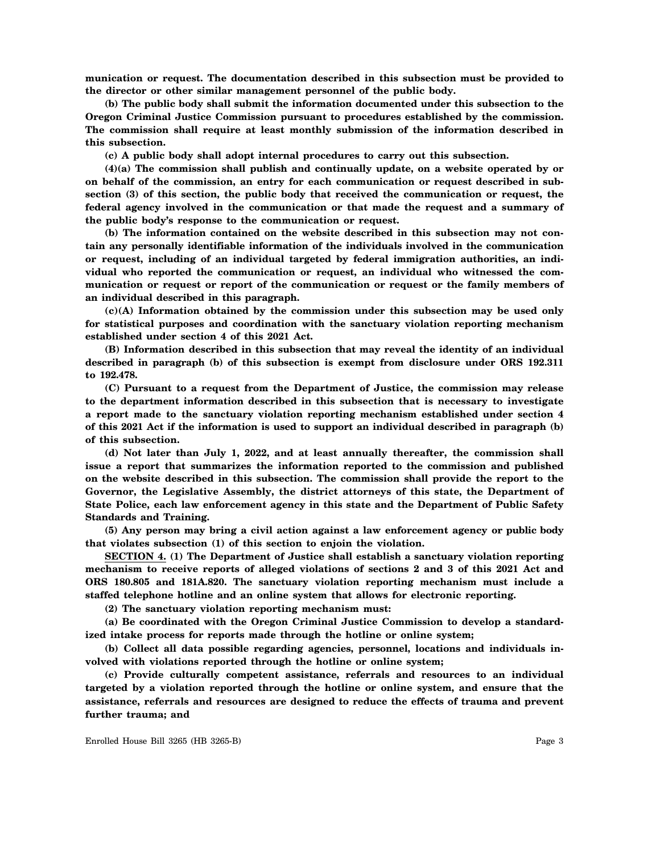**munication or request. The documentation described in this subsection must be provided to the director or other similar management personnel of the public body.**

**(b) The public body shall submit the information documented under this subsection to the Oregon Criminal Justice Commission pursuant to procedures established by the commission. The commission shall require at least monthly submission of the information described in this subsection.**

**(c) A public body shall adopt internal procedures to carry out this subsection.**

**(4)(a) The commission shall publish and continually update, on a website operated by or on behalf of the commission, an entry for each communication or request described in subsection (3) of this section, the public body that received the communication or request, the federal agency involved in the communication or that made the request and a summary of the public body's response to the communication or request.**

**(b) The information contained on the website described in this subsection may not contain any personally identifiable information of the individuals involved in the communication or request, including of an individual targeted by federal immigration authorities, an individual who reported the communication or request, an individual who witnessed the communication or request or report of the communication or request or the family members of an individual described in this paragraph.**

**(c)(A) Information obtained by the commission under this subsection may be used only for statistical purposes and coordination with the sanctuary violation reporting mechanism established under section 4 of this 2021 Act.**

**(B) Information described in this subsection that may reveal the identity of an individual described in paragraph (b) of this subsection is exempt from disclosure under ORS 192.311 to 192.478.**

**(C) Pursuant to a request from the Department of Justice, the commission may release to the department information described in this subsection that is necessary to investigate a report made to the sanctuary violation reporting mechanism established under section 4 of this 2021 Act if the information is used to support an individual described in paragraph (b) of this subsection.**

**(d) Not later than July 1, 2022, and at least annually thereafter, the commission shall issue a report that summarizes the information reported to the commission and published on the website described in this subsection. The commission shall provide the report to the Governor, the Legislative Assembly, the district attorneys of this state, the Department of State Police, each law enforcement agency in this state and the Department of Public Safety Standards and Training.**

**(5) Any person may bring a civil action against a law enforcement agency or public body that violates subsection (1) of this section to enjoin the violation.**

**SECTION 4. (1) The Department of Justice shall establish a sanctuary violation reporting mechanism to receive reports of alleged violations of sections 2 and 3 of this 2021 Act and ORS 180.805 and 181A.820. The sanctuary violation reporting mechanism must include a staffed telephone hotline and an online system that allows for electronic reporting.**

**(2) The sanctuary violation reporting mechanism must:**

**(a) Be coordinated with the Oregon Criminal Justice Commission to develop a standardized intake process for reports made through the hotline or online system;**

**(b) Collect all data possible regarding agencies, personnel, locations and individuals involved with violations reported through the hotline or online system;**

**(c) Provide culturally competent assistance, referrals and resources to an individual targeted by a violation reported through the hotline or online system, and ensure that the assistance, referrals and resources are designed to reduce the effects of trauma and prevent further trauma; and**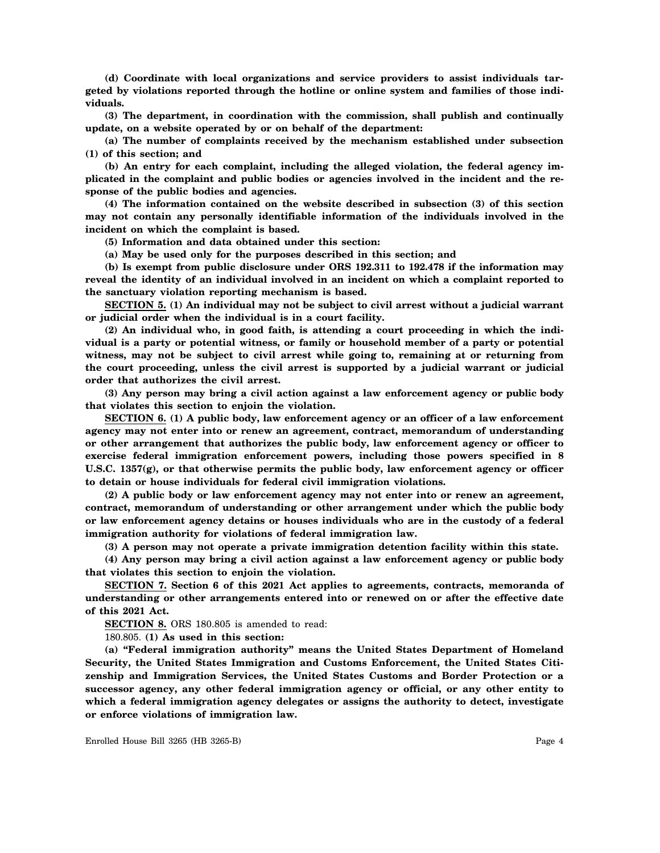**(d) Coordinate with local organizations and service providers to assist individuals targeted by violations reported through the hotline or online system and families of those individuals.**

**(3) The department, in coordination with the commission, shall publish and continually update, on a website operated by or on behalf of the department:**

**(a) The number of complaints received by the mechanism established under subsection (1) of this section; and**

**(b) An entry for each complaint, including the alleged violation, the federal agency implicated in the complaint and public bodies or agencies involved in the incident and the response of the public bodies and agencies.**

**(4) The information contained on the website described in subsection (3) of this section may not contain any personally identifiable information of the individuals involved in the incident on which the complaint is based.**

**(5) Information and data obtained under this section:**

**(a) May be used only for the purposes described in this section; and**

**(b) Is exempt from public disclosure under ORS 192.311 to 192.478 if the information may reveal the identity of an individual involved in an incident on which a complaint reported to the sanctuary violation reporting mechanism is based.**

**SECTION 5. (1) An individual may not be subject to civil arrest without a judicial warrant or judicial order when the individual is in a court facility.**

**(2) An individual who, in good faith, is attending a court proceeding in which the individual is a party or potential witness, or family or household member of a party or potential witness, may not be subject to civil arrest while going to, remaining at or returning from the court proceeding, unless the civil arrest is supported by a judicial warrant or judicial order that authorizes the civil arrest.**

**(3) Any person may bring a civil action against a law enforcement agency or public body that violates this section to enjoin the violation.**

**SECTION 6. (1) A public body, law enforcement agency or an officer of a law enforcement agency may not enter into or renew an agreement, contract, memorandum of understanding or other arrangement that authorizes the public body, law enforcement agency or officer to exercise federal immigration enforcement powers, including those powers specified in 8 U.S.C. 1357(g), or that otherwise permits the public body, law enforcement agency or officer to detain or house individuals for federal civil immigration violations.**

**(2) A public body or law enforcement agency may not enter into or renew an agreement, contract, memorandum of understanding or other arrangement under which the public body or law enforcement agency detains or houses individuals who are in the custody of a federal immigration authority for violations of federal immigration law.**

**(3) A person may not operate a private immigration detention facility within this state.**

**(4) Any person may bring a civil action against a law enforcement agency or public body that violates this section to enjoin the violation.**

**SECTION 7. Section 6 of this 2021 Act applies to agreements, contracts, memoranda of understanding or other arrangements entered into or renewed on or after the effective date of this 2021 Act.**

**SECTION 8.** ORS 180.805 is amended to read:

180.805. **(1) As used in this section:**

**(a) "Federal immigration authority" means the United States Department of Homeland Security, the United States Immigration and Customs Enforcement, the United States Citizenship and Immigration Services, the United States Customs and Border Protection or a successor agency, any other federal immigration agency or official, or any other entity to which a federal immigration agency delegates or assigns the authority to detect, investigate or enforce violations of immigration law.**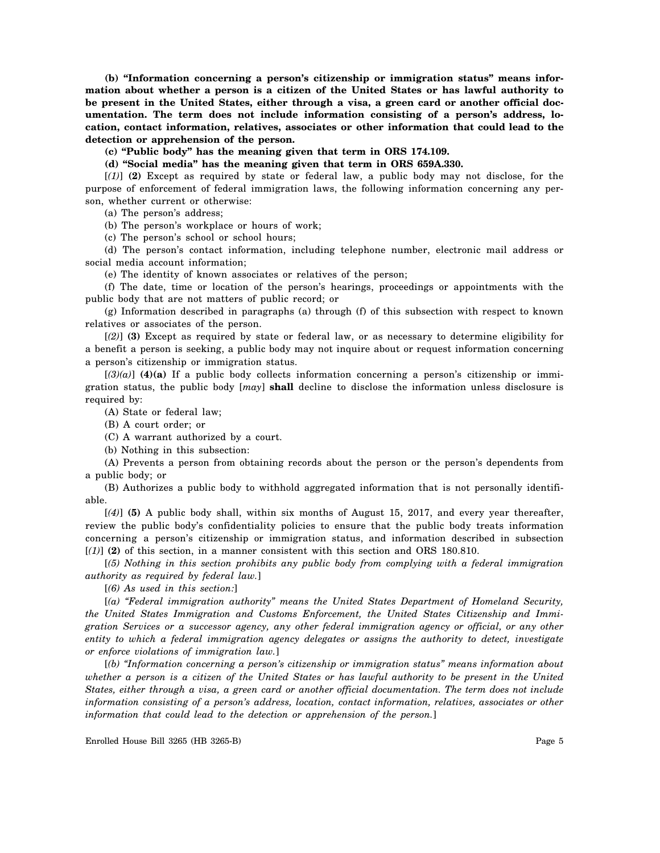**(b) "Information concerning a person's citizenship or immigration status" means information about whether a person is a citizen of the United States or has lawful authority to be present in the United States, either through a visa, a green card or another official documentation. The term does not include information consisting of a person's address, location, contact information, relatives, associates or other information that could lead to the detection or apprehension of the person.**

**(c) "Public body" has the meaning given that term in ORS 174.109.**

**(d) "Social media" has the meaning given that term in ORS 659A.330.**

[*(1)*] **(2)** Except as required by state or federal law, a public body may not disclose, for the purpose of enforcement of federal immigration laws, the following information concerning any person, whether current or otherwise:

(a) The person's address;

(b) The person's workplace or hours of work;

(c) The person's school or school hours;

(d) The person's contact information, including telephone number, electronic mail address or social media account information;

(e) The identity of known associates or relatives of the person;

(f) The date, time or location of the person's hearings, proceedings or appointments with the public body that are not matters of public record; or

(g) Information described in paragraphs (a) through (f) of this subsection with respect to known relatives or associates of the person.

[*(2)*] **(3)** Except as required by state or federal law, or as necessary to determine eligibility for a benefit a person is seeking, a public body may not inquire about or request information concerning a person's citizenship or immigration status.

 $[(3)(a)]$  (4)(a) If a public body collects information concerning a person's citizenship or immigration status, the public body [*may*] **shall** decline to disclose the information unless disclosure is required by:

(A) State or federal law;

(B) A court order; or

(C) A warrant authorized by a court.

(b) Nothing in this subsection:

(A) Prevents a person from obtaining records about the person or the person's dependents from a public body; or

(B) Authorizes a public body to withhold aggregated information that is not personally identifiable.

[*(4)*] **(5)** A public body shall, within six months of August 15, 2017, and every year thereafter, review the public body's confidentiality policies to ensure that the public body treats information concerning a person's citizenship or immigration status, and information described in subsection  $[(1)]$  (2) of this section, in a manner consistent with this section and ORS 180.810.

[*(5) Nothing in this section prohibits any public body from complying with a federal immigration authority as required by federal law.*]

[*(6) As used in this section:*]

[*(a) "Federal immigration authority" means the United States Department of Homeland Security, the United States Immigration and Customs Enforcement, the United States Citizenship and Immigration Services or a successor agency, any other federal immigration agency or official, or any other entity to which a federal immigration agency delegates or assigns the authority to detect, investigate or enforce violations of immigration law.*]

[*(b) "Information concerning a person's citizenship or immigration status" means information about whether a person is a citizen of the United States or has lawful authority to be present in the United States, either through a visa, a green card or another official documentation. The term does not include information consisting of a person's address, location, contact information, relatives, associates or other information that could lead to the detection or apprehension of the person.*]

Enrolled House Bill 3265 (HB 3265-B) Page 5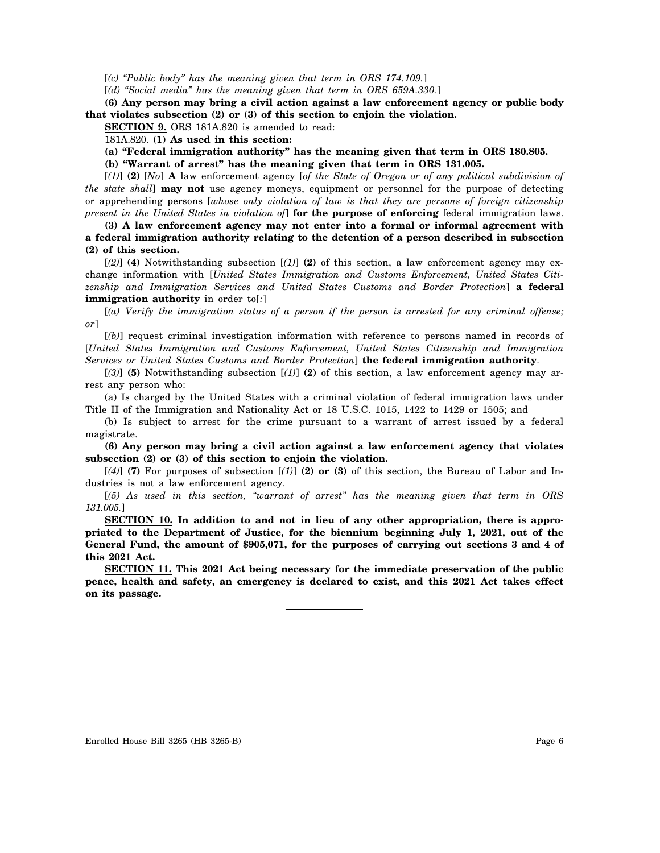[*(c) "Public body" has the meaning given that term in ORS 174.109.*]

[*(d) "Social media" has the meaning given that term in ORS 659A.330.*]

**(6) Any person may bring a civil action against a law enforcement agency or public body that violates subsection (2) or (3) of this section to enjoin the violation.**

**SECTION 9.** ORS 181A.820 is amended to read:

181A.820. **(1) As used in this section:**

**(a) "Federal immigration authority" has the meaning given that term in ORS 180.805.**

**(b) "Warrant of arrest" has the meaning given that term in ORS 131.005.**

[*(1)*] **(2)** [*No*] **A** law enforcement agency [*of the State of Oregon or of any political subdivision of the state shall*] **may not** use agency moneys, equipment or personnel for the purpose of detecting or apprehending persons [*whose only violation of law is that they are persons of foreign citizenship present in the United States in violation of*] **for the purpose of enforcing** federal immigration laws.

**(3) A law enforcement agency may not enter into a formal or informal agreement with a federal immigration authority relating to the detention of a person described in subsection (2) of this section.**

[*(2)*] **(4)** Notwithstanding subsection [*(1)*] **(2)** of this section, a law enforcement agency may exchange information with [*United States Immigration and Customs Enforcement, United States Citizenship and Immigration Services and United States Customs and Border Protection*] **a federal immigration authority** in order to[*:*]

[*(a) Verify the immigration status of a person if the person is arrested for any criminal offense; or*]

[*(b)*] request criminal investigation information with reference to persons named in records of [*United States Immigration and Customs Enforcement, United States Citizenship and Immigration Services or United States Customs and Border Protection*] **the federal immigration authority**.

[*(3)*] **(5)** Notwithstanding subsection [*(1)*] **(2)** of this section, a law enforcement agency may arrest any person who:

(a) Is charged by the United States with a criminal violation of federal immigration laws under Title II of the Immigration and Nationality Act or 18 U.S.C. 1015, 1422 to 1429 or 1505; and

(b) Is subject to arrest for the crime pursuant to a warrant of arrest issued by a federal magistrate.

**(6) Any person may bring a civil action against a law enforcement agency that violates subsection (2) or (3) of this section to enjoin the violation.**

[*(4)*] **(7)** For purposes of subsection [*(1)*] **(2) or (3)** of this section, the Bureau of Labor and Industries is not a law enforcement agency.

[*(5) As used in this section, "warrant of arrest" has the meaning given that term in ORS 131.005.*]

**SECTION 10. In addition to and not in lieu of any other appropriation, there is appropriated to the Department of Justice, for the biennium beginning July 1, 2021, out of the General Fund, the amount of \$905,071, for the purposes of carrying out sections 3 and 4 of this 2021 Act.**

**SECTION 11. This 2021 Act being necessary for the immediate preservation of the public peace, health and safety, an emergency is declared to exist, and this 2021 Act takes effect on its passage.**